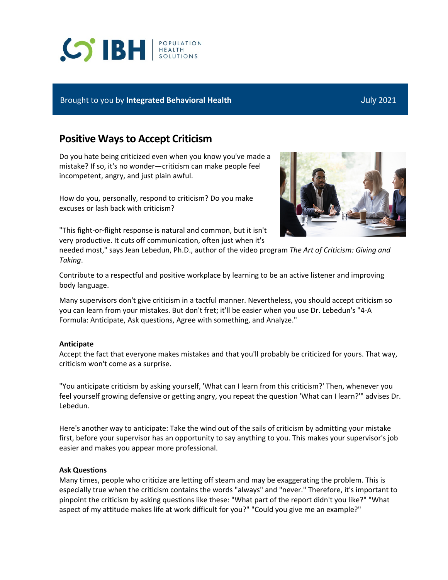# **SPH REALTH**

### Brought to you by **Integrated Behavioral Health** July 2021

# **Positive Ways to Accept Criticism**

Do you hate being criticized even when you know you've made a mistake? If so, it's no wonder—criticism can make people feel incompetent, angry, and just plain awful.

How do you, personally, respond to criticism? Do you make excuses or lash back with criticism?

"This fight-or-flight response is natural and common, but it isn't very productive. It cuts off communication, often just when it's

needed most," says Jean Lebedun, Ph.D., author of the video program *The Art of Criticism: Giving and Taking*.

Contribute to a respectful and positive workplace by learning to be an active listener and improving body language.

Many supervisors don't give criticism in a tactful manner. Nevertheless, you should accept criticism so you can learn from your mistakes. But don't fret; it'll be easier when you use Dr. Lebedun's "4-A Formula: Anticipate, Ask questions, Agree with something, and Analyze."

#### **Anticipate**

Accept the fact that everyone makes mistakes and that you'll probably be criticized for yours. That way, criticism won't come as a surprise.

"You anticipate criticism by asking yourself, 'What can I learn from this criticism?' Then, whenever you feel yourself growing defensive or getting angry, you repeat the question 'What can I learn?'" advises Dr. Lebedun.

Here's another way to anticipate: Take the wind out of the sails of criticism by admitting your mistake first, before your supervisor has an opportunity to say anything to you. This makes your supervisor's job easier and makes you appear more professional.

#### **Ask Questions**

Many times, people who criticize are letting off steam and may be exaggerating the problem. This is especially true when the criticism contains the words "always" and "never." Therefore, it's important to pinpoint the criticism by asking questions like these: "What part of the report didn't you like?" "What aspect of my attitude makes life at work difficult for you?" "Could you give me an example?"